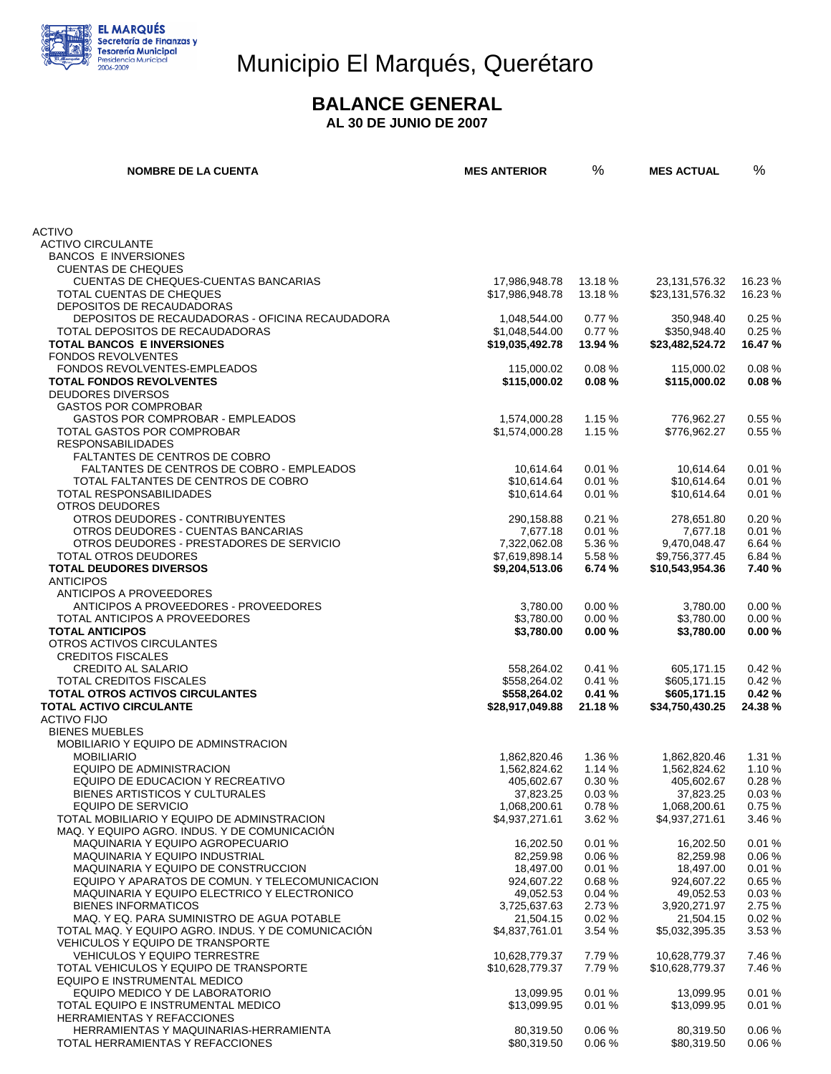

## Municipio El Marqués, Querétaro

#### **BALANCE GENERAL**

**AL 30 DE JUNIO DE 2007** 

| <b>NOMBRE DE LA CUENTA</b>                                                            | <b>MES ANTERIOR</b>              | %                  | <b>MES ACTUAL</b>                   | $\%$               |
|---------------------------------------------------------------------------------------|----------------------------------|--------------------|-------------------------------------|--------------------|
|                                                                                       |                                  |                    |                                     |                    |
| <b>ACTIVO</b>                                                                         |                                  |                    |                                     |                    |
| <b>ACTIVO CIRCULANTE</b>                                                              |                                  |                    |                                     |                    |
| <b>BANCOS E INVERSIONES</b>                                                           |                                  |                    |                                     |                    |
| <b>CUENTAS DE CHEQUES</b>                                                             |                                  |                    |                                     |                    |
| CUENTAS DE CHEQUES-CUENTAS BANCARIAS<br>TOTAL CUENTAS DE CHEQUES                      | 17,986,948.78<br>\$17,986,948.78 | 13.18 %<br>13.18 % | 23, 131, 576. 32<br>\$23,131,576.32 | 16.23 %<br>16.23 % |
| DEPOSITOS DE RECAUDADORAS                                                             |                                  |                    |                                     |                    |
| DEPOSITOS DE RECAUDADORAS - OFICINA RECAUDADORA                                       | 1,048,544.00                     | 0.77%              | 350,948.40                          | 0.25%              |
| TOTAL DEPOSITOS DE RECAUDADORAS                                                       | \$1,048,544.00                   | 0.77%              | \$350,948.40                        | 0.25%              |
| <b>TOTAL BANCOS E INVERSIONES</b>                                                     | \$19,035,492.78                  | 13.94 %            | \$23,482,524.72                     | 16.47%             |
| <b>FONDOS REVOLVENTES</b>                                                             |                                  |                    |                                     |                    |
| FONDOS REVOLVENTES-EMPLEADOS                                                          | 115,000.02                       | 0.08%              | 115,000.02                          | 0.08%              |
| <b>TOTAL FONDOS REVOLVENTES</b>                                                       | \$115,000.02                     | 0.08%              | \$115,000.02                        | 0.08%              |
| <b>DEUDORES DIVERSOS</b><br><b>GASTOS POR COMPROBAR</b>                               |                                  |                    |                                     |                    |
| GASTOS POR COMPROBAR - EMPLEADOS                                                      | 1,574,000.28                     | 1.15%              | 776,962.27                          | 0.55%              |
| TOTAL GASTOS POR COMPROBAR                                                            | \$1,574,000.28                   | 1.15%              | \$776,962.27                        | 0.55%              |
| <b>RESPONSABILIDADES</b>                                                              |                                  |                    |                                     |                    |
| <b>FALTANTES DE CENTROS DE COBRO</b>                                                  |                                  |                    |                                     |                    |
| FALTANTES DE CENTROS DE COBRO - EMPLEADOS                                             | 10,614.64                        | 0.01%              | 10,614.64                           | 0.01%              |
| TOTAL FALTANTES DE CENTROS DE COBRO                                                   | \$10,614.64                      | 0.01%              | \$10,614.64                         | 0.01%              |
| TOTAL RESPONSABILIDADES                                                               | \$10,614.64                      | 0.01%              | \$10,614.64                         | 0.01%              |
| <b>OTROS DEUDORES</b><br>OTROS DEUDORES - CONTRIBUYENTES                              |                                  |                    |                                     |                    |
| OTROS DEUDORES - CUENTAS BANCARIAS                                                    | 290,158.88<br>7,677.18           | 0.21%<br>0.01%     | 278,651.80<br>7,677.18              | 0.20%<br>0.01%     |
| OTROS DEUDORES - PRESTADORES DE SERVICIO                                              | 7.322.062.08                     | 5.36 %             | 9,470,048.47                        | 6.64 %             |
| <b>TOTAL OTROS DEUDORES</b>                                                           | \$7,619,898.14                   | 5.58 %             | \$9,756,377.45                      | 6.84 %             |
| <b>TOTAL DEUDORES DIVERSOS</b>                                                        | \$9,204,513.06                   | 6.74 %             | \$10,543,954.36                     | 7.40 %             |
| <b>ANTICIPOS</b>                                                                      |                                  |                    |                                     |                    |
| ANTICIPOS A PROVEEDORES                                                               |                                  |                    |                                     |                    |
| ANTICIPOS A PROVEEDORES - PROVEEDORES                                                 | 3,780.00                         | 0.00%              | 3,780.00                            | 0.00%              |
| TOTAL ANTICIPOS A PROVEEDORES                                                         | \$3,780.00                       | 0.00%              | \$3,780.00                          | 0.00%              |
| <b>TOTAL ANTICIPOS</b><br>OTROS ACTIVOS CIRCULANTES                                   | \$3,780.00                       | 0.00%              | \$3,780.00                          | 0.00%              |
| <b>CREDITOS FISCALES</b>                                                              |                                  |                    |                                     |                    |
| <b>CREDITO AL SALARIO</b>                                                             | 558,264.02                       | 0.41%              | 605,171.15                          | 0.42%              |
| <b>TOTAL CREDITOS FISCALES</b>                                                        | \$558,264.02                     | 0.41%              | \$605,171.15                        | 0.42%              |
| <b>TOTAL OTROS ACTIVOS CIRCULANTES</b>                                                | \$558,264.02                     | 0.41%              | \$605,171.15                        | 0.42%              |
| <b>TOTAL ACTIVO CIRCULANTE</b>                                                        | \$28,917,049.88                  | 21.18%             | \$34,750,430.25                     | 24.38%             |
| <b>ACTIVO FIJO</b>                                                                    |                                  |                    |                                     |                    |
| <b>BIENES MUEBLES</b>                                                                 |                                  |                    |                                     |                    |
| MOBILIARIO Y EQUIPO DE ADMINSTRACION                                                  |                                  |                    |                                     |                    |
| <b>MOBILIARIO</b><br>EQUIPO DE ADMINISTRACION                                         | 1,862,820.46<br>1,562,824.62     | 1.36 %<br>1.14%    | 1,862,820.46<br>1,562,824.62        | 1.31 %<br>1.10%    |
| EQUIPO DE EDUCACION Y RECREATIVO                                                      | 405,602.67                       | 0.30%              | 405,602.67                          | 0.28%              |
| BIENES ARTISTICOS Y CULTURALES                                                        | 37,823.25                        | 0.03%              | 37,823.25                           | 0.03%              |
| EQUIPO DE SERVICIO                                                                    | 1,068,200.61                     | 0.78%              | 1,068,200.61                        | 0.75%              |
| TOTAL MOBILIARIO Y EQUIPO DE ADMINSTRACION                                            | \$4,937,271.61                   | 3.62 %             | \$4,937,271.61                      | 3.46 %             |
| MAQ. Y EQUIPO AGRO. INDUS. Y DE COMUNICACION                                          |                                  |                    |                                     |                    |
| <b>MAQUINARIA Y EQUIPO AGROPECUARIO</b>                                               | 16,202.50                        | 0.01%              | 16,202.50                           | 0.01%              |
| MAQUINARIA Y EQUIPO INDUSTRIAL                                                        | 82,259.98                        | 0.06%              | 82,259.98                           | 0.06%              |
| MAQUINARIA Y EQUIPO DE CONSTRUCCION<br>EQUIPO Y APARATOS DE COMUN. Y TELECOMUNICACION | 18,497.00                        | 0.01%              | 18,497.00                           | 0.01%<br>0.65%     |
| MAQUINARIA Y EQUIPO ELECTRICO Y ELECTRONICO                                           | 924,607.22<br>49,052.53          | 0.68%<br>0.04%     | 924,607.22<br>49,052.53             | 0.03%              |
| <b>BIENES INFORMATICOS</b>                                                            | 3,725,637.63                     | 2.73 %             | 3,920,271.97                        | 2.75 %             |
| MAQ. Y EQ. PARA SUMINISTRO DE AGUA POTABLE                                            | 21,504.15                        | 0.02%              | 21,504.15                           | 0.02%              |
| TOTAL MAQ. Y EQUIPO AGRO. INDUS. Y DE COMUNICACIÓN                                    | \$4,837,761.01                   | 3.54 %             | \$5,032,395.35                      | 3.53 %             |
| VEHICULOS Y EQUIPO DE TRANSPORTE                                                      |                                  |                    |                                     |                    |
| VEHICULOS Y EQUIPO TERRESTRE                                                          | 10,628,779.37                    | 7.79 %             | 10,628,779.37                       | 7.46 %             |
| TOTAL VEHICULOS Y EQUIPO DE TRANSPORTE                                                | \$10,628,779.37                  | 7.79 %             | \$10,628,779.37                     | 7.46 %             |
| EQUIPO E INSTRUMENTAL MEDICO                                                          |                                  |                    |                                     |                    |
| EQUIPO MEDICO Y DE LABORATORIO                                                        | 13,099.95                        | 0.01%              | 13,099.95                           | 0.01%              |
| TOTAL EQUIPO E INSTRUMENTAL MEDICO                                                    | \$13,099.95                      | 0.01%              | \$13,099.95                         | 0.01%              |
| HERRAMIENTAS Y REFACCIONES<br>HERRAMIENTAS Y MAQUINARIAS-HERRAMIENTA                  | 80,319.50                        | 0.06%              | 80,319.50                           | 0.06%              |
| TOTAL HERRAMIENTAS Y REFACCIONES                                                      | \$80,319.50                      | 0.06%              | \$80,319.50                         | $0.06~\%$          |
|                                                                                       |                                  |                    |                                     |                    |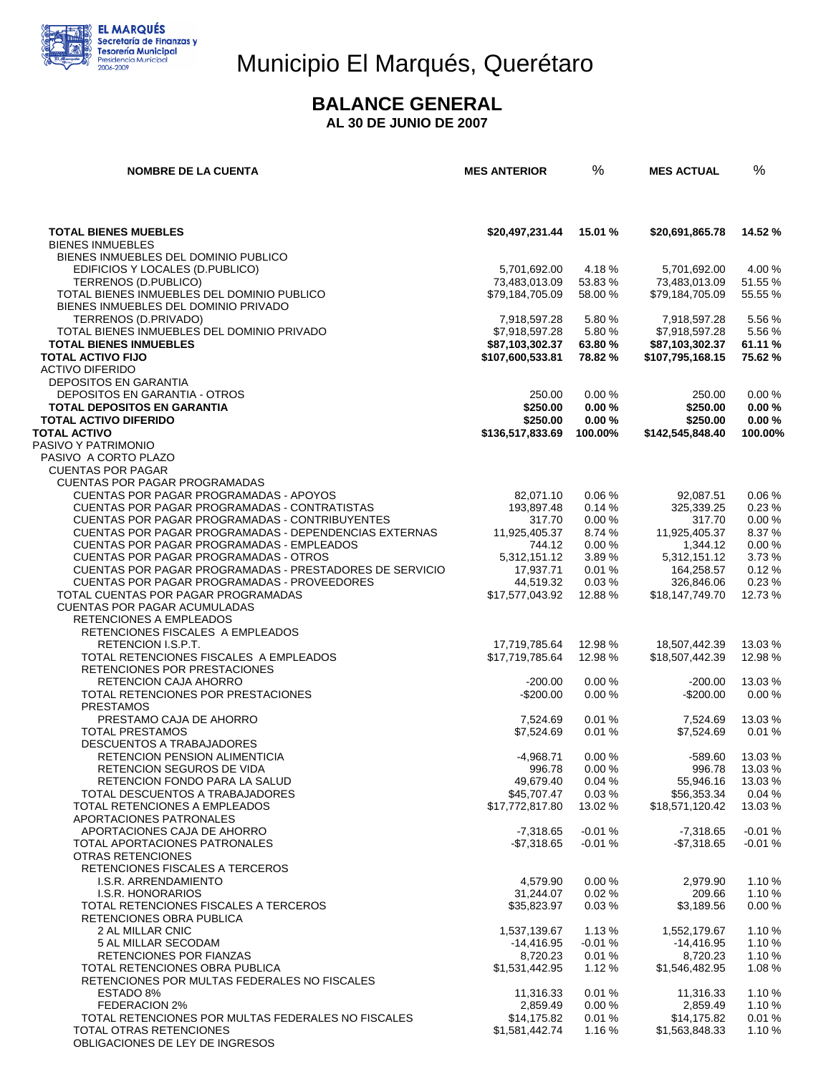

# Municipio El Marqués, Querétaro

#### **BALANCE GENERAL**

**AL 30 DE JUNIO DE 2007** 

| <b>NOMBRE DE LA CUENTA</b>                                                             | <b>MES ANTERIOR</b>            | %                | <b>MES ACTUAL</b>              | %                 |
|----------------------------------------------------------------------------------------|--------------------------------|------------------|--------------------------------|-------------------|
|                                                                                        |                                |                  |                                |                   |
| <b>TOTAL BIENES MUEBLES</b>                                                            | \$20,497,231.44                | 15.01 %          | \$20,691,865.78                | 14.52 %           |
| <b>BIENES INMUEBLES</b>                                                                |                                |                  |                                |                   |
| BIENES INMUEBLES DEL DOMINIO PUBLICO                                                   |                                |                  |                                |                   |
| EDIFICIOS Y LOCALES (D.PUBLICO)<br>TERRENOS (D.PUBLICO)                                | 5,701,692.00<br>73,483,013.09  | 4.18%<br>53.83 % | 5,701,692.00<br>73,483,013.09  | 4.00 %<br>51.55 % |
| TOTAL BIENES INMUEBLES DEL DOMINIO PUBLICO                                             | \$79,184,705.09                | 58.00 %          | \$79,184,705.09                | 55.55 %           |
| BIENES INMUEBLES DEL DOMINIO PRIVADO                                                   |                                |                  |                                |                   |
| TERRENOS (D.PRIVADO)                                                                   | 7,918,597.28                   | 5.80 %           | 7,918,597.28                   | 5.56 %            |
| TOTAL BIENES INMUEBLES DEL DOMINIO PRIVADO                                             | \$7,918,597.28                 | 5.80%            | \$7,918,597.28                 | 5.56 %            |
| <b>TOTAL BIENES INMUEBLES</b>                                                          | \$87,103,302.37                | 63.80%           | \$87,103,302.37                | 61.11%            |
| <b>TOTAL ACTIVO FIJO</b>                                                               | \$107,600,533.81               | 78.82 %          | \$107,795,168.15               | 75.62%            |
| <b>ACTIVO DIFERIDO</b>                                                                 |                                |                  |                                |                   |
| <b>DEPOSITOS EN GARANTIA</b><br>DEPOSITOS EN GARANTIA - OTROS                          | 250.00                         | 0.00%            | 250.00                         | 0.00%             |
| <b>TOTAL DEPOSITOS EN GARANTIA</b>                                                     | \$250.00                       | 0.00%            | \$250.00                       | 0.00%             |
| <b>TOTAL ACTIVO DIFERIDO</b>                                                           | \$250.00                       | 0.00%            | \$250.00                       | 0.00%             |
| <b>TOTAL ACTIVO</b>                                                                    | \$136,517,833.69               | 100.00%          | \$142,545,848.40               | 100.00%           |
| PASIVO Y PATRIMONIO                                                                    |                                |                  |                                |                   |
| PASIVO A CORTO PLAZO                                                                   |                                |                  |                                |                   |
| <b>CUENTAS POR PAGAR</b>                                                               |                                |                  |                                |                   |
| <b>CUENTAS POR PAGAR PROGRAMADAS</b>                                                   |                                |                  |                                |                   |
| CUENTAS POR PAGAR PROGRAMADAS - APOYOS<br>CUENTAS POR PAGAR PROGRAMADAS - CONTRATISTAS | 82,071.10<br>193,897.48        | 0.06%<br>0.14%   | 92,087.51<br>325,339.25        | 0.06%<br>0.23%    |
| CUENTAS POR PAGAR PROGRAMADAS - CONTRIBUYENTES                                         | 317.70                         | 0.00%            | 317.70                         | 0.00%             |
| <b>CUENTAS POR PAGAR PROGRAMADAS - DEPENDENCIAS EXTERNAS</b>                           | 11,925,405.37                  | 8.74 %           | 11,925,405.37                  | 8.37 %            |
| CUENTAS POR PAGAR PROGRAMADAS - EMPLEADOS                                              | 744.12                         | 0.00%            | 1,344.12                       | 0.00%             |
| CUENTAS POR PAGAR PROGRAMADAS - OTROS                                                  | 5,312,151.12                   | 3.89 %           | 5,312,151.12                   | 3.73%             |
| CUENTAS POR PAGAR PROGRAMADAS - PRESTADORES DE SERVICIO                                | 17,937.71                      | 0.01%            | 164,258.57                     | 0.12%             |
| CUENTAS POR PAGAR PROGRAMADAS - PROVEEDORES                                            | 44,519.32                      | 0.03%            | 326,846.06                     | 0.23%             |
| TOTAL CUENTAS POR PAGAR PROGRAMADAS                                                    | \$17,577,043.92                | 12.88%           | \$18,147,749.70                | 12.73 %           |
| <b>CUENTAS POR PAGAR ACUMULADAS</b><br>RETENCIONES A EMPLEADOS                         |                                |                  |                                |                   |
| RETENCIONES FISCALES A EMPLEADOS                                                       |                                |                  |                                |                   |
| RETENCION I.S.P.T.                                                                     | 17,719,785.64                  | 12.98%           | 18,507,442.39                  | 13.03 %           |
| TOTAL RETENCIONES FISCALES A EMPLEADOS                                                 | \$17,719,785.64                | 12.98%           | \$18,507,442.39                | 12.98 %           |
| RETENCIONES POR PRESTACIONES                                                           |                                |                  |                                |                   |
| RETENCION CAJA AHORRO                                                                  | $-200.00$                      | 0.00%            | $-200.00$                      | 13.03 %           |
| TOTAL RETENCIONES POR PRESTACIONES<br><b>PRESTAMOS</b>                                 | $-$200.00$                     | 0.00%            | $-$200.00$                     | 0.00%             |
| PRESTAMO CAJA DE AHORRO                                                                | 7,524.69                       | 0.01%            | 7,524.69                       | 13.03 %           |
| <b>TOTAL PRESTAMOS</b>                                                                 | \$7,524.69                     | 0.01%            | \$7,524.69                     | 0.01%             |
| DESCUENTOS A TRABAJADORES                                                              |                                |                  |                                |                   |
| RETENCION PENSION ALIMENTICIA                                                          | -4,968.71                      | 0.00%            | $-589.60$                      | 13.03 %           |
| RETENCION SEGUROS DE VIDA                                                              | 996.78                         | 0.00%            | 996.78                         | 13.03%            |
| RETENCION FONDO PARA LA SALUD                                                          | 49,679.40                      | 0.04%            | 55,946.16                      | 13.03 %           |
| TOTAL DESCUENTOS A TRABAJADORES<br>TOTAL RETENCIONES A EMPLEADOS                       | \$45,707.47<br>\$17,772,817.80 | 0.03%<br>13.02 % | \$56,353.34<br>\$18,571,120.42 | 0.04%<br>13.03 %  |
| APORTACIONES PATRONALES                                                                |                                |                  |                                |                   |
| APORTACIONES CAJA DE AHORRO                                                            | -7,318.65                      | $-0.01%$         | $-7,318.65$                    | $-0.01%$          |
| TOTAL APORTACIONES PATRONALES                                                          | $-$ \$7,318.65                 | $-0.01%$         | -\$7,318.65                    | $-0.01%$          |
| OTRAS RETENCIONES                                                                      |                                |                  |                                |                   |
| RETENCIONES FISCALES A TERCEROS                                                        |                                |                  |                                |                   |
| I.S.R. ARRENDAMIENTO                                                                   | 4,579.90                       | 0.00%            | 2,979.90                       | 1.10%             |
| I.S.R. HONORARIOS<br>TOTAL RETENCIONES FISCALES A TERCEROS                             | 31,244.07<br>\$35,823.97       | 0.02%<br>0.03%   | 209.66<br>\$3,189.56           | 1.10%<br>0.00%    |
| RETENCIONES OBRA PUBLICA                                                               |                                |                  |                                |                   |
| 2 AL MILLAR CNIC                                                                       | 1,537,139.67                   | 1.13%            | 1,552,179.67                   | 1.10%             |
| 5 AL MILLAR SECODAM                                                                    | -14,416.95                     | -0.01 %          | -14,416.95                     | 1.10%             |
| RETENCIONES POR FIANZAS                                                                | 8,720.23                       | 0.01%            | 8,720.23                       | 1.10%             |
| TOTAL RETENCIONES OBRA PUBLICA                                                         | \$1,531,442.95                 | 1.12%            | \$1,546,482.95                 | 1.08 %            |
| RETENCIONES POR MULTAS FEDERALES NO FISCALES                                           |                                |                  |                                |                   |
| ESTADO 8%<br>FEDERACION 2%                                                             | 11,316.33<br>2,859.49          | 0.01%<br>0.00%   | 11,316.33<br>2,859.49          | 1.10%<br>1.10%    |
| TOTAL RETENCIONES POR MULTAS FEDERALES NO FISCALES                                     | \$14,175.82                    | 0.01%            | \$14,175.82                    | 0.01%             |
| TOTAL OTRAS RETENCIONES                                                                | \$1,581,442.74                 | 1.16%            | \$1,563,848.33                 | 1.10 %            |
| OBLIGACIONES DE LEY DE INGRESOS                                                        |                                |                  |                                |                   |